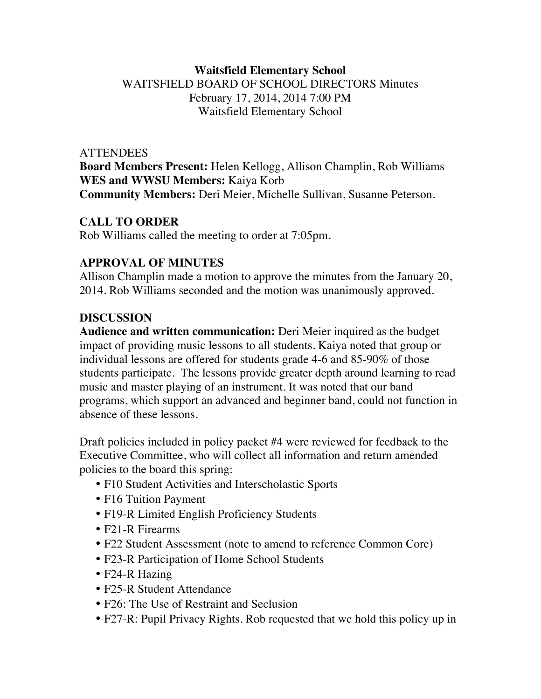# **Waitsfield Elementary School** WAITSFIELD BOARD OF SCHOOL DIRECTORS Minutes February 17, 2014, 2014 7:00 PM Waitsfield Elementary School

#### **ATTENDEES**

**Board Members Present:** Helen Kellogg, Allison Champlin, Rob Williams **WES and WWSU Members:** Kaiya Korb **Community Members:** Deri Meier, Michelle Sullivan, Susanne Peterson.

#### **CALL TO ORDER**

Rob Williams called the meeting to order at 7:05pm.

## **APPROVAL OF MINUTES**

Allison Champlin made a motion to approve the minutes from the January 20, 2014. Rob Williams seconded and the motion was unanimously approved.

## **DISCUSSION**

**Audience and written communication:** Deri Meier inquired as the budget impact of providing music lessons to all students. Kaiya noted that group or individual lessons are offered for students grade 4-6 and 85-90% of those students participate. The lessons provide greater depth around learning to read music and master playing of an instrument. It was noted that our band programs, which support an advanced and beginner band, could not function in absence of these lessons.

Draft policies included in policy packet #4 were reviewed for feedback to the Executive Committee, who will collect all information and return amended policies to the board this spring:

- F10 Student Activities and Interscholastic Sports
- F16 Tuition Payment
- F19-R Limited English Proficiency Students
- F21-R Firearms
- F22 Student Assessment (note to amend to reference Common Core)
- F23-R Participation of Home School Students
- F24-R Hazing
- F25-R Student Attendance
- F<sub>26</sub>: The Use of Restraint and Seclusion
- F27-R: Pupil Privacy Rights. Rob requested that we hold this policy up in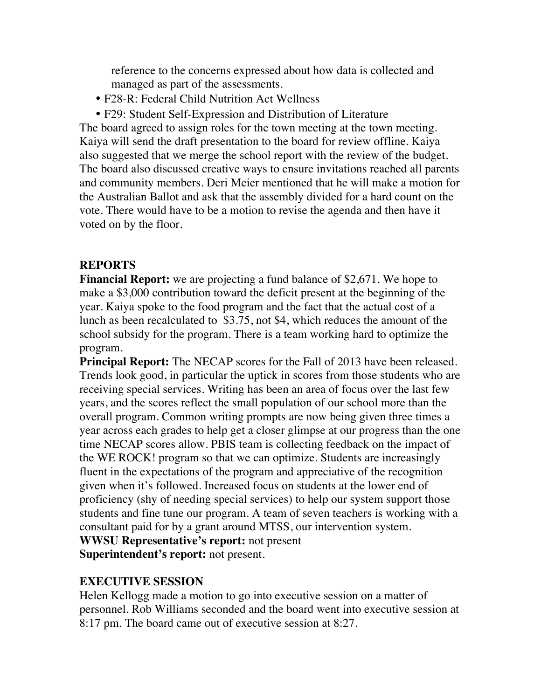reference to the concerns expressed about how data is collected and managed as part of the assessments.

- F28-R: Federal Child Nutrition Act Wellness
- F29: Student Self-Expression and Distribution of Literature

The board agreed to assign roles for the town meeting at the town meeting. Kaiya will send the draft presentation to the board for review offline. Kaiya also suggested that we merge the school report with the review of the budget. The board also discussed creative ways to ensure invitations reached all parents and community members. Deri Meier mentioned that he will make a motion for the Australian Ballot and ask that the assembly divided for a hard count on the vote. There would have to be a motion to revise the agenda and then have it voted on by the floor.

#### **REPORTS**

**Financial Report:** we are projecting a fund balance of \$2,671. We hope to make a \$3,000 contribution toward the deficit present at the beginning of the year. Kaiya spoke to the food program and the fact that the actual cost of a lunch as been recalculated to \$3.75, not \$4, which reduces the amount of the school subsidy for the program. There is a team working hard to optimize the program.

**Principal Report:** The NECAP scores for the Fall of 2013 have been released. Trends look good, in particular the uptick in scores from those students who are receiving special services. Writing has been an area of focus over the last few years, and the scores reflect the small population of our school more than the overall program. Common writing prompts are now being given three times a year across each grades to help get a closer glimpse at our progress than the one time NECAP scores allow. PBIS team is collecting feedback on the impact of the WE ROCK! program so that we can optimize. Students are increasingly fluent in the expectations of the program and appreciative of the recognition given when it's followed. Increased focus on students at the lower end of proficiency (shy of needing special services) to help our system support those students and fine tune our program. A team of seven teachers is working with a consultant paid for by a grant around MTSS, our intervention system. **WWSU Representative's report:** not present

**Superintendent's report:** not present.

## **EXECUTIVE SESSION**

Helen Kellogg made a motion to go into executive session on a matter of personnel. Rob Williams seconded and the board went into executive session at 8:17 pm. The board came out of executive session at 8:27.